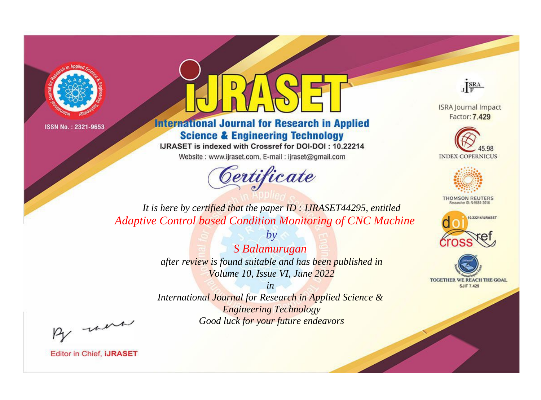



**International Journal for Research in Applied Science & Engineering Technology** 

IJRASET is indexed with Crossref for DOI-DOI: 10.22214

Website: www.ijraset.com, E-mail: ijraset@gmail.com



JERA

**ISRA Journal Impact** Factor: 7.429





**THOMSON REUTERS** 



TOGETHER WE REACH THE GOAL **SJIF 7.429** 

*It is here by certified that the paper ID : IJRASET44295, entitled Adaptive Control based Condition Monitoring of CNC Machine*

> *by S Balamurugan after review is found suitable and has been published in Volume 10, Issue VI, June 2022*

> > *in*

*International Journal for Research in Applied Science & Engineering Technology Good luck for your future endeavors*

By morn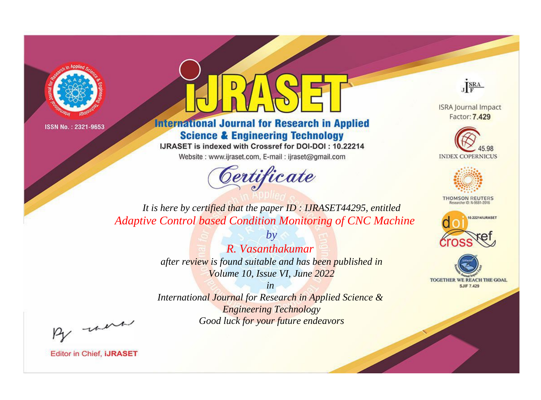



**International Journal for Research in Applied Science & Engineering Technology** 

IJRASET is indexed with Crossref for DOI-DOI: 10.22214

Website: www.ijraset.com, E-mail: ijraset@gmail.com



JERA

**ISRA Journal Impact** Factor: 7.429





**THOMSON REUTERS** 



TOGETHER WE REACH THE GOAL **SJIF 7.429** 

*It is here by certified that the paper ID : IJRASET44295, entitled Adaptive Control based Condition Monitoring of CNC Machine*

> *by R. Vasanthakumar after review is found suitable and has been published in Volume 10, Issue VI, June 2022*

> > *in*

*International Journal for Research in Applied Science & Engineering Technology Good luck for your future endeavors*

By morn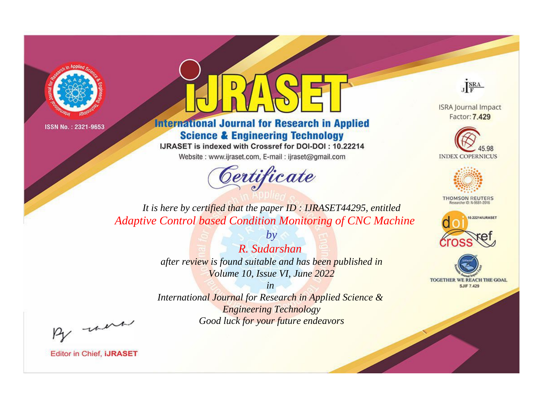



**International Journal for Research in Applied Science & Engineering Technology** 

IJRASET is indexed with Crossref for DOI-DOI: 10.22214

Website: www.ijraset.com, E-mail: ijraset@gmail.com



JERA

**ISRA Journal Impact** Factor: 7.429





**THOMSON REUTERS** 



TOGETHER WE REACH THE GOAL **SJIF 7.429** 

*It is here by certified that the paper ID : IJRASET44295, entitled Adaptive Control based Condition Monitoring of CNC Machine*

> *R. Sudarshan after review is found suitable and has been published in Volume 10, Issue VI, June 2022*

*by*

*in* 

*International Journal for Research in Applied Science & Engineering Technology Good luck for your future endeavors*

By morn